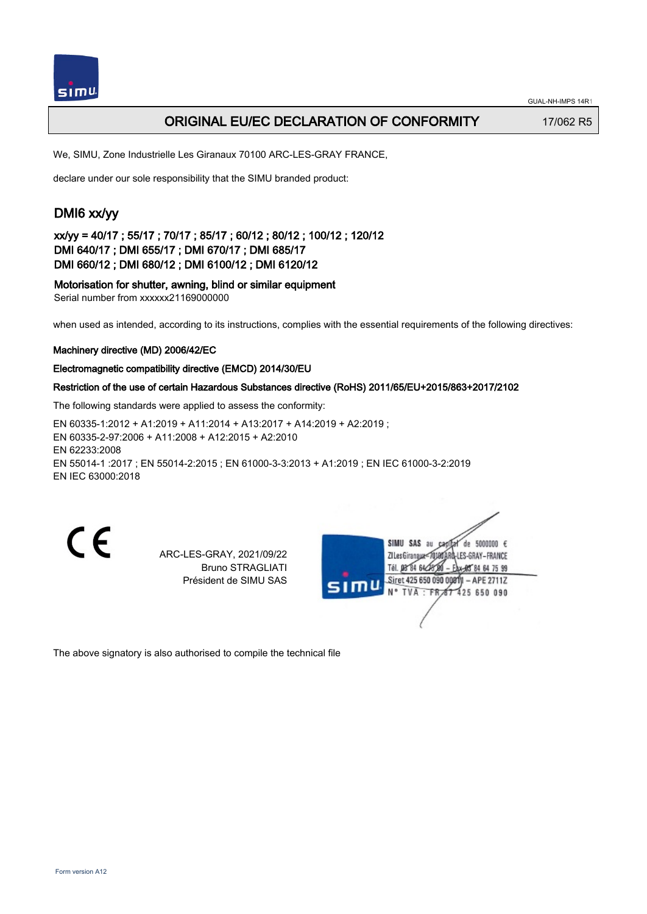

## ORIGINAL EU/EC DECLARATION OF CONFORMITY 17/062 R5

We, SIMU, Zone Industrielle Les Giranaux 70100 ARC-LES-GRAY FRANCE,

declare under our sole responsibility that the SIMU branded product:

# DMI6 xx/yy

xx/yy = 40/17 ; 55/17 ; 70/17 ; 85/17 ; 60/12 ; 80/12 ; 100/12 ; 120/12 DMI 640/17 ; DMI 655/17 ; DMI 670/17 ; DMI 685/17 DMI 660/12 ; DMI 680/12 ; DMI 6100/12 ; DMI 6120/12

Motorisation for shutter, awning, blind or similar equipment Serial number from xxxxxx21169000000

when used as intended, according to its instructions, complies with the essential requirements of the following directives:

### Machinery directive (MD) 2006/42/EC

#### Electromagnetic compatibility directive (EMCD) 2014/30/EU

#### Restriction of the use of certain Hazardous Substances directive (RoHS) 2011/65/EU+2015/863+2017/2102

The following standards were applied to assess the conformity:

EN 60335‑1:2012 + A1:2019 + A11:2014 + A13:2017 + A14:2019 + A2:2019 ; EN 60335‑2‑97:2006 + A11:2008 + A12:2015 + A2:2010 EN 62233:2008 EN 55014‑1 :2017 ; EN 55014‑2:2015 ; EN 61000‑3‑3:2013 + A1:2019 ; EN IEC 61000‑3‑2:2019 EN IEC 63000:2018

CE

ARC-LES-GRAY, 2021/09/22 Bruno STRAGLIATI Président de SIMU SAS

SIMU SAS au capital de 5000000  $\epsilon$ ZI Les Giranaux</DJ80AF LES-GRAY-FRANCE Tél. 08 84 64 24 84 64 75 99 Siret 425 650 090 00811  $-$  APE 2711Z  $TVA - FRAT$ 425 650 090

The above signatory is also authorised to compile the technical file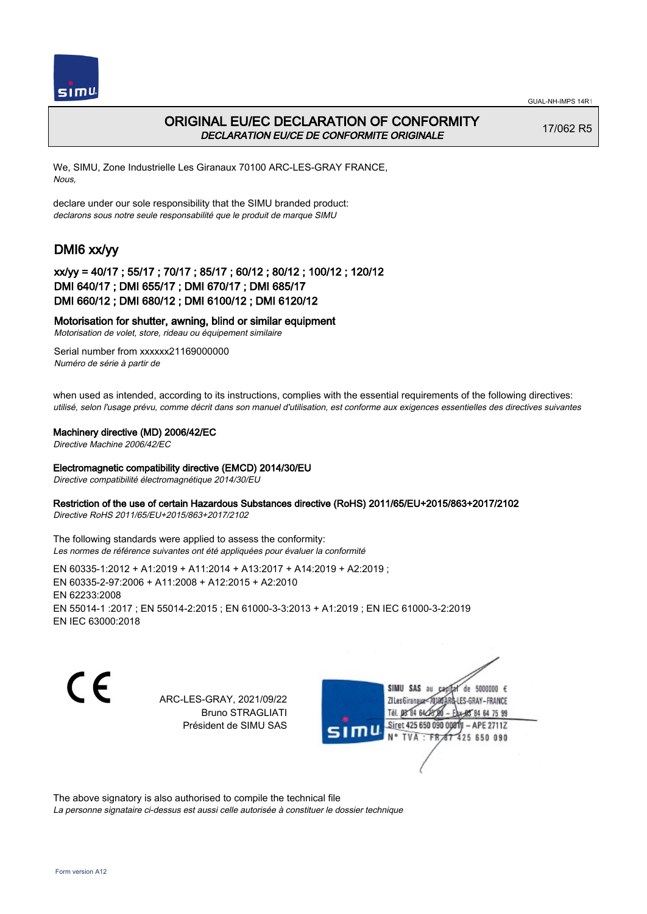



## ORIGINAL EU/EC DECLARATION OF CONFORMITY DECLARATION EU/CE DE CONFORMITE ORIGINALE

17/062 R5

We, SIMU, Zone Industrielle Les Giranaux 70100 ARC-LES-GRAY FRANCE, Nous,

declare under our sole responsibility that the SIMU branded product: declarons sous notre seule responsabilité que le produit de marque SIMU

# DMI6 xx/yy

## xx/yy = 40/17 ; 55/17 ; 70/17 ; 85/17 ; 60/12 ; 80/12 ; 100/12 ; 120/12 DMI 640/17 ; DMI 655/17 ; DMI 670/17 ; DMI 685/17 DMI 660/12 ; DMI 680/12 ; DMI 6100/12 ; DMI 6120/12

### Motorisation for shutter, awning, blind or similar equipment

Motorisation de volet, store, rideau ou équipement similaire

Serial number from xxxxxx21169000000 Numéro de série à partir de

when used as intended, according to its instructions, complies with the essential requirements of the following directives: utilisé, selon l'usage prévu, comme décrit dans son manuel d'utilisation, est conforme aux exigences essentielles des directives suivantes

#### Machinery directive (MD) 2006/42/EC

Directive Machine 2006/42/EC

#### Electromagnetic compatibility directive (EMCD) 2014/30/EU

Directive compatibilité électromagnétique 2014/30/EU

#### Restriction of the use of certain Hazardous Substances directive (RoHS) 2011/65/EU+2015/863+2017/2102

Directive RoHS 2011/65/EU+2015/863+2017/2102

The following standards were applied to assess the conformity: Les normes de référence suivantes ont été appliquées pour évaluer la conformité

EN 60335‑1:2012 + A1:2019 + A11:2014 + A13:2017 + A14:2019 + A2:2019 ; EN 60335‑2‑97:2006 + A11:2008 + A12:2015 + A2:2010 EN 62233:2008 EN 55014‑1 :2017 ; EN 55014‑2:2015 ; EN 61000‑3‑3:2013 + A1:2019 ; EN IEC 61000‑3‑2:2019 EN IEC 63000:2018

CE

ARC-LES-GRAY, 2021/09/22 Bruno STRAGLIATI Président de SIMU SAS

SIMU SAS au de 5000000  $\epsilon$ ZI Les Giranaux</r ES-GRAY-FRANCE TH DR R4 BL/ 64 75 99 Siret 425 650 090 00811  $-$  APE 27117 TVA 425 650 090  $-FR$ 

The above signatory is also authorised to compile the technical file

La personne signataire ci-dessus est aussi celle autorisée à constituer le dossier technique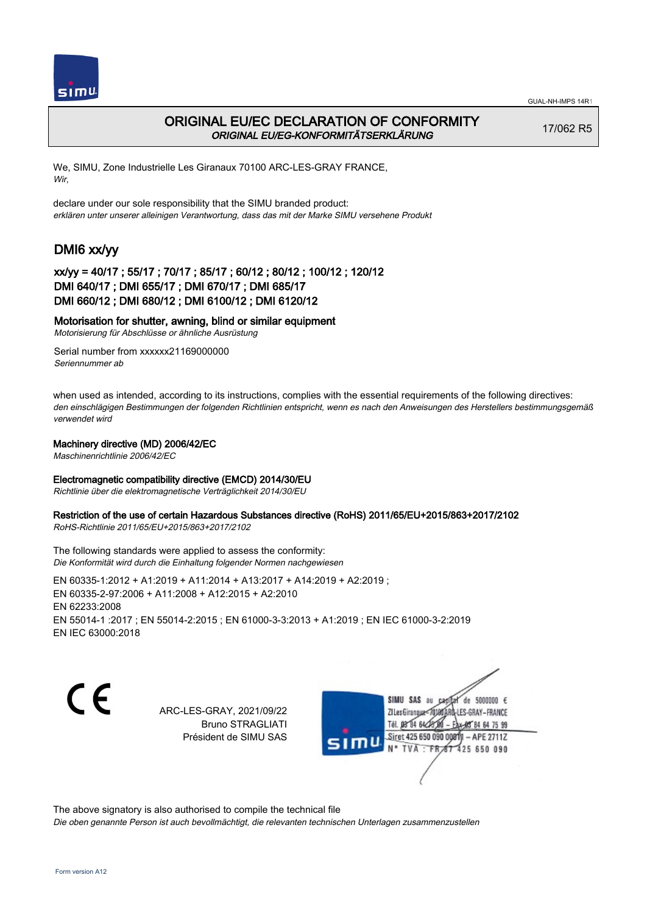



### ORIGINAL EU/EC DECLARATION OF CONFORMITY ORIGINAL EU/EG-KONFORMITÄTSERKLÄRUNG

17/062 R5

We, SIMU, Zone Industrielle Les Giranaux 70100 ARC-LES-GRAY FRANCE, Wir,

declare under our sole responsibility that the SIMU branded product: erklären unter unserer alleinigen Verantwortung, dass das mit der Marke SIMU versehene Produkt

# DMI6 xx/yy

### xx/yy = 40/17 ; 55/17 ; 70/17 ; 85/17 ; 60/12 ; 80/12 ; 100/12 ; 120/12 DMI 640/17 ; DMI 655/17 ; DMI 670/17 ; DMI 685/17 DMI 660/12 ; DMI 680/12 ; DMI 6100/12 ; DMI 6120/12

### Motorisation for shutter, awning, blind or similar equipment

Motorisierung für Abschlüsse or ähnliche Ausrüstung

Serial number from xxxxxx21169000000 Seriennummer ab

when used as intended, according to its instructions, complies with the essential requirements of the following directives: den einschlägigen Bestimmungen der folgenden Richtlinien entspricht, wenn es nach den Anweisungen des Herstellers bestimmungsgemäß verwendet wird

### Machinery directive (MD) 2006/42/EC

Maschinenrichtlinie 2006/42/EC

### Electromagnetic compatibility directive (EMCD) 2014/30/EU

Richtlinie über die elektromagnetische Verträglichkeit 2014/30/EU

### Restriction of the use of certain Hazardous Substances directive (RoHS) 2011/65/EU+2015/863+2017/2102

RoHS-Richtlinie 2011/65/EU+2015/863+2017/2102

The following standards were applied to assess the conformity: Die Konformität wird durch die Einhaltung folgender Normen nachgewiesen

EN 60335‑1:2012 + A1:2019 + A11:2014 + A13:2017 + A14:2019 + A2:2019 ; EN 60335‑2‑97:2006 + A11:2008 + A12:2015 + A2:2010 EN 62233:2008 EN 55014‑1 :2017 ; EN 55014‑2:2015 ; EN 61000‑3‑3:2013 + A1:2019 ; EN IEC 61000‑3‑2:2019 EN IEC 63000:2018

(f

ARC-LES-GRAY, 2021/09/22 Bruno STRAGLIATI Président de SIMU SAS



The above signatory is also authorised to compile the technical file

Die oben genannte Person ist auch bevollmächtigt, die relevanten technischen Unterlagen zusammenzustellen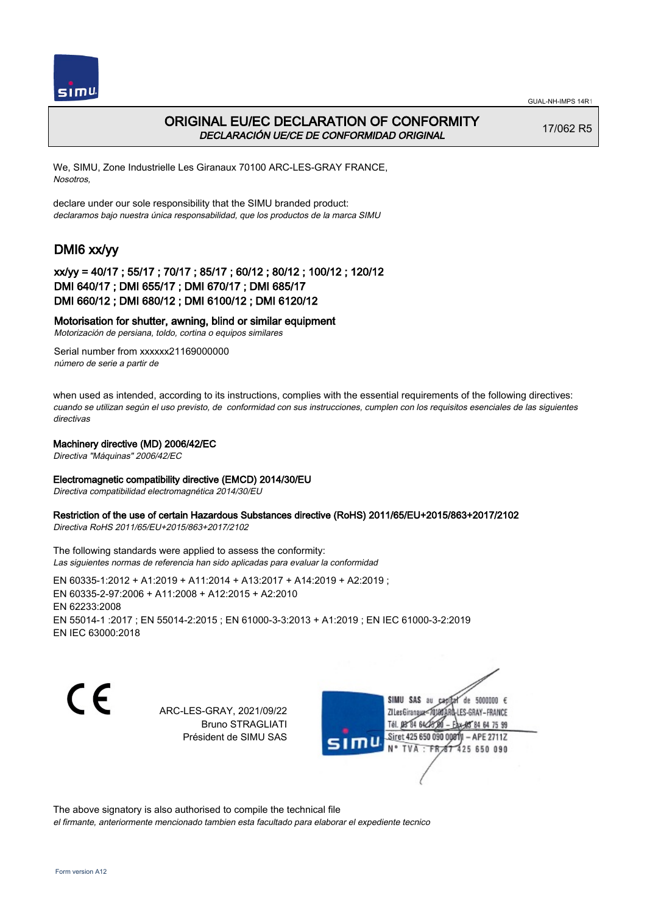



## ORIGINAL EU/EC DECLARATION OF CONFORMITY DECLARACIÓN UE/CE DE CONFORMIDAD ORIGINAL

17/062 R5

We, SIMU, Zone Industrielle Les Giranaux 70100 ARC-LES-GRAY FRANCE, Nosotros,

declare under our sole responsibility that the SIMU branded product: declaramos bajo nuestra única responsabilidad, que los productos de la marca SIMU

# DMI6 xx/yy

### xx/yy = 40/17 ; 55/17 ; 70/17 ; 85/17 ; 60/12 ; 80/12 ; 100/12 ; 120/12 DMI 640/17 ; DMI 655/17 ; DMI 670/17 ; DMI 685/17 DMI 660/12 ; DMI 680/12 ; DMI 6100/12 ; DMI 6120/12

### Motorisation for shutter, awning, blind or similar equipment

Motorización de persiana, toldo, cortina o equipos similares

Serial number from xxxxxx21169000000 número de serie a partir de

when used as intended, according to its instructions, complies with the essential requirements of the following directives: cuando se utilizan según el uso previsto, de conformidad con sus instrucciones, cumplen con los requisitos esenciales de las siguientes directivas

### Machinery directive (MD) 2006/42/EC

Directiva "Máquinas" 2006/42/EC

### Electromagnetic compatibility directive (EMCD) 2014/30/EU

Directiva compatibilidad electromagnética 2014/30/EU

### Restriction of the use of certain Hazardous Substances directive (RoHS) 2011/65/EU+2015/863+2017/2102

Directiva RoHS 2011/65/EU+2015/863+2017/2102

The following standards were applied to assess the conformity: Las siguientes normas de referencia han sido aplicadas para evaluar la conformidad

EN 60335‑1:2012 + A1:2019 + A11:2014 + A13:2017 + A14:2019 + A2:2019 ; EN 60335‑2‑97:2006 + A11:2008 + A12:2015 + A2:2010 EN 62233:2008 EN 55014‑1 :2017 ; EN 55014‑2:2015 ; EN 61000‑3‑3:2013 + A1:2019 ; EN IEC 61000‑3‑2:2019 EN IEC 63000:2018

( F

ARC-LES-GRAY, 2021/09/22 Bruno STRAGLIATI Président de SIMU SAS



The above signatory is also authorised to compile the technical file el firmante, anteriormente mencionado tambien esta facultado para elaborar el expediente tecnico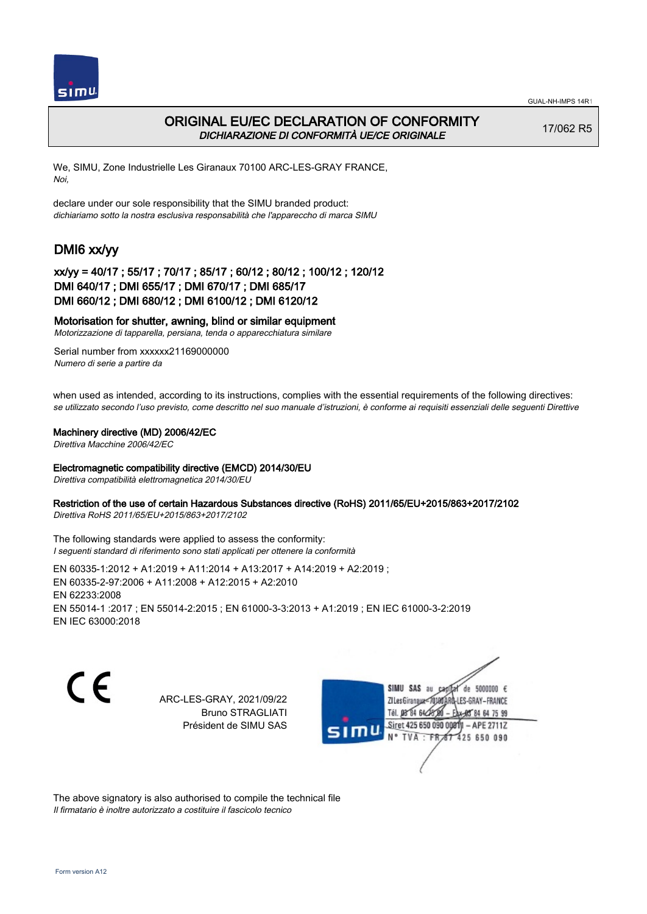

## ORIGINAL EU/EC DECLARATION OF CONFORMITY DICHIARAZIONE DI CONFORMITÀ UE/CE ORIGINALE

17/062 R5

We, SIMU, Zone Industrielle Les Giranaux 70100 ARC-LES-GRAY FRANCE, Noi,

declare under our sole responsibility that the SIMU branded product: dichiariamo sotto la nostra esclusiva responsabilità che l'appareccho di marca SIMU

# DMI6 xx/yy

### xx/yy = 40/17 ; 55/17 ; 70/17 ; 85/17 ; 60/12 ; 80/12 ; 100/12 ; 120/12 DMI 640/17 ; DMI 655/17 ; DMI 670/17 ; DMI 685/17 DMI 660/12 ; DMI 680/12 ; DMI 6100/12 ; DMI 6120/12

### Motorisation for shutter, awning, blind or similar equipment

Motorizzazione di tapparella, persiana, tenda o apparecchiatura similare

Serial number from xxxxxx21169000000 Numero di serie a partire da

when used as intended, according to its instructions, complies with the essential requirements of the following directives: se utilizzato secondo l'uso previsto, come descritto nel suo manuale d'istruzioni, è conforme ai requisiti essenziali delle seguenti Direttive

#### Machinery directive (MD) 2006/42/EC

Direttiva Macchine 2006/42/EC

#### Electromagnetic compatibility directive (EMCD) 2014/30/EU

Direttiva compatibilità elettromagnetica 2014/30/EU

#### Restriction of the use of certain Hazardous Substances directive (RoHS) 2011/65/EU+2015/863+2017/2102

Direttiva RoHS 2011/65/EU+2015/863+2017/2102

The following standards were applied to assess the conformity: I seguenti standard di riferimento sono stati applicati per ottenere la conformità

EN 60335‑1:2012 + A1:2019 + A11:2014 + A13:2017 + A14:2019 + A2:2019 ; EN 60335‑2‑97:2006 + A11:2008 + A12:2015 + A2:2010 EN 62233:2008 EN 55014‑1 :2017 ; EN 55014‑2:2015 ; EN 61000‑3‑3:2013 + A1:2019 ; EN IEC 61000‑3‑2:2019 EN IEC 63000:2018

CE

ARC-LES-GRAY, 2021/09/22 Bruno STRAGLIATI Président de SIMU SAS



The above signatory is also authorised to compile the technical file Il firmatario è inoltre autorizzato a costituire il fascicolo tecnico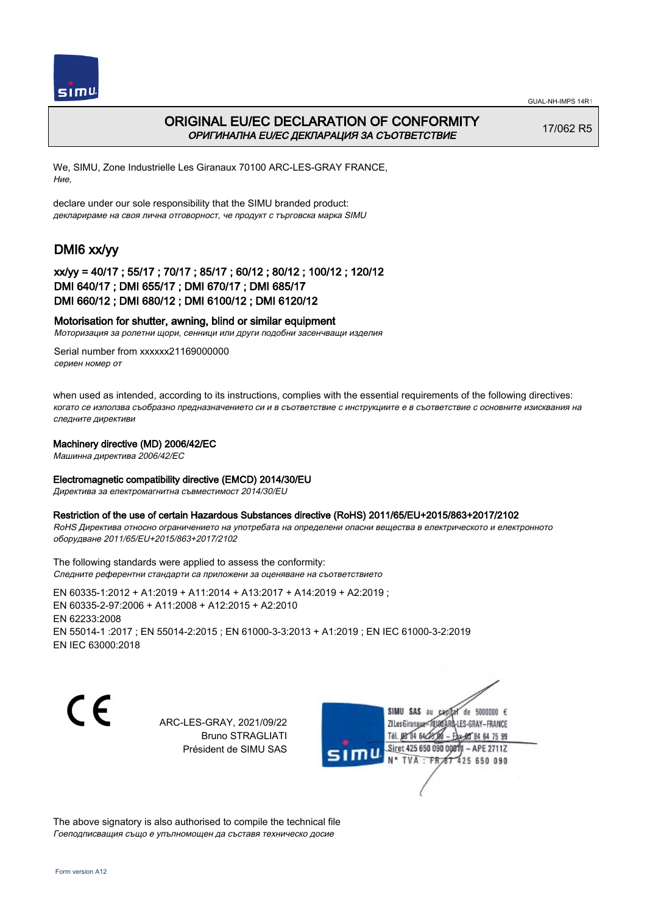



## ORIGINAL EU/EC DECLARATION OF CONFORMITY ОРИГИНАЛНА EU/EC ДЕКЛАРАЦИЯ ЗА СЪОТВЕТСТВИЕ

17/062 R5

We, SIMU, Zone Industrielle Les Giranaux 70100 ARC-LES-GRAY FRANCE, Ние,

declare under our sole responsibility that the SIMU branded product: декларираме на своя лична отговорност, че продукт с търговска марка SIMU

# DMI6 xx/yy

### xx/yy = 40/17 ; 55/17 ; 70/17 ; 85/17 ; 60/12 ; 80/12 ; 100/12 ; 120/12 DMI 640/17 ; DMI 655/17 ; DMI 670/17 ; DMI 685/17 DMI 660/12 ; DMI 680/12 ; DMI 6100/12 ; DMI 6120/12

### Motorisation for shutter, awning, blind or similar equipment

Моторизация за ролетни щори, сенници или други подобни засенчващи изделия

Serial number from xxxxxx21169000000 сериен номер от

when used as intended, according to its instructions, complies with the essential requirements of the following directives: когато се използва съобразно предназначението си и в съответствие с инструкциите е в съответствие с основните изисквания на следните директиви

#### Machinery directive (MD) 2006/42/EC

Машинна директива 2006/42/EC

### Electromagnetic compatibility directive (EMCD) 2014/30/EU

Директива за електромагнитна съвместимост 2014/30/EU

#### Restriction of the use of certain Hazardous Substances directive (RoHS) 2011/65/EU+2015/863+2017/2102

RoHS Директива относно ограничението на употребата на определени опасни вещества в електрическото и електронното оборудване 2011/65/EU+2015/863+2017/2102

The following standards were applied to assess the conformity: Следните референтни стандарти са приложени за оценяване на съответствието

EN 60335‑1:2012 + A1:2019 + A11:2014 + A13:2017 + A14:2019 + A2:2019 ; EN 60335‑2‑97:2006 + A11:2008 + A12:2015 + A2:2010 EN 62233:2008 EN 55014‑1 :2017 ; EN 55014‑2:2015 ; EN 61000‑3‑3:2013 + A1:2019 ; EN IEC 61000‑3‑2:2019 EN IEC 63000:2018

C E

ARC-LES-GRAY, 2021/09/22 Bruno STRAGLIATI Président de SIMU SAS



The above signatory is also authorised to compile the technical file Гоеподписващия също е упълномощен да съставя техническо досие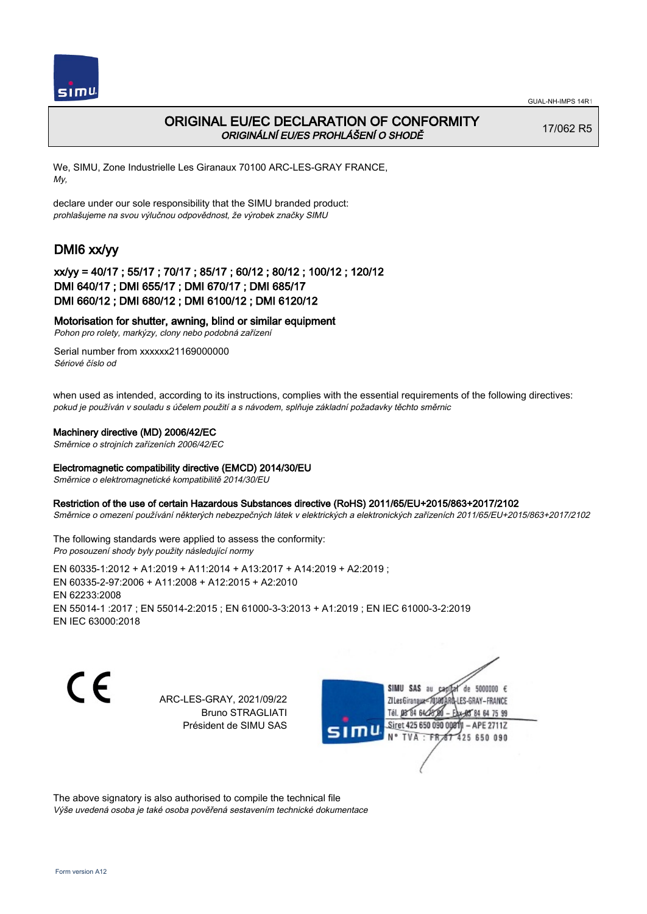

## ORIGINAL EU/EC DECLARATION OF CONFORMITY ORIGINÁLNÍ EU/ES PROHLÁŠENÍ O SHODĚ

17/062 R5

We, SIMU, Zone Industrielle Les Giranaux 70100 ARC-LES-GRAY FRANCE, My,

declare under our sole responsibility that the SIMU branded product: prohlašujeme na svou výlučnou odpovědnost, že výrobek značky SIMU

# DMI6 xx/yy

## xx/yy = 40/17 ; 55/17 ; 70/17 ; 85/17 ; 60/12 ; 80/12 ; 100/12 ; 120/12 DMI 640/17 ; DMI 655/17 ; DMI 670/17 ; DMI 685/17 DMI 660/12 ; DMI 680/12 ; DMI 6100/12 ; DMI 6120/12

### Motorisation for shutter, awning, blind or similar equipment

Pohon pro rolety, markýzy, clony nebo podobná zařízení

Serial number from xxxxxx21169000000 Sériové číslo od

when used as intended, according to its instructions, complies with the essential requirements of the following directives: pokud je používán v souladu s účelem použití a s návodem, splňuje základní požadavky těchto směrnic

### Machinery directive (MD) 2006/42/EC

Směrnice o strojních zařízeních 2006/42/EC

### Electromagnetic compatibility directive (EMCD) 2014/30/EU

Směrnice o elektromagnetické kompatibilitě 2014/30/EU

### Restriction of the use of certain Hazardous Substances directive (RoHS) 2011/65/EU+2015/863+2017/2102

Směrnice o omezení používání některých nebezpečných látek v elektrických a elektronických zařízeních 2011/65/EU+2015/863+2017/2102

The following standards were applied to assess the conformity: Pro posouzení shody byly použity následující normy

EN 60335‑1:2012 + A1:2019 + A11:2014 + A13:2017 + A14:2019 + A2:2019 ; EN 60335‑2‑97:2006 + A11:2008 + A12:2015 + A2:2010 EN 62233:2008 EN 55014‑1 :2017 ; EN 55014‑2:2015 ; EN 61000‑3‑3:2013 + A1:2019 ; EN IEC 61000‑3‑2:2019 EN IEC 63000:2018

C E

ARC-LES-GRAY, 2021/09/22 Bruno STRAGLIATI Président de SIMU SAS



The above signatory is also authorised to compile the technical file Výše uvedená osoba je také osoba pověřená sestavením technické dokumentace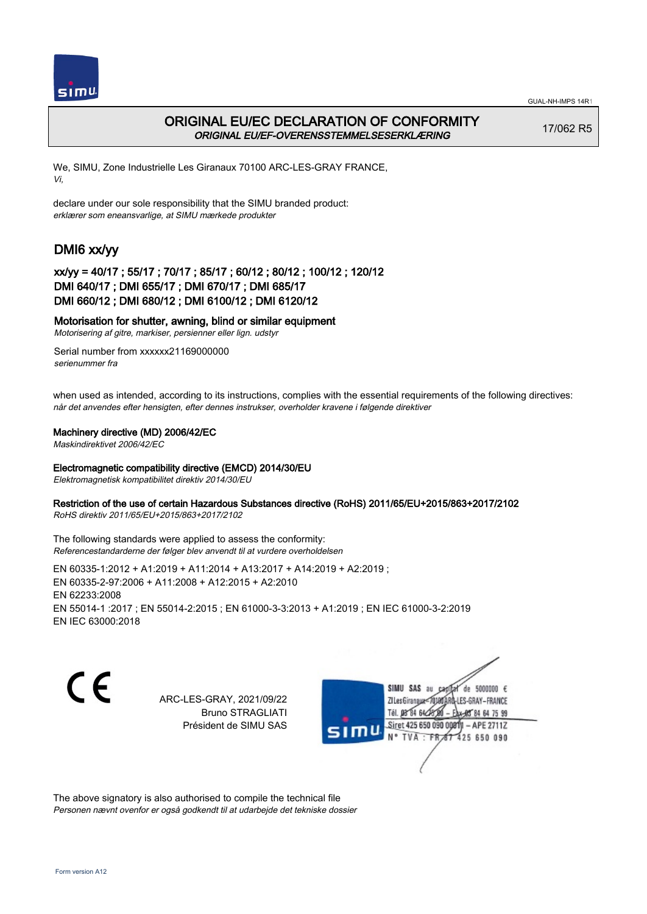



## ORIGINAL EU/EC DECLARATION OF CONFORMITY ORIGINAL EU/EF-OVERENSSTEMMELSESERKLÆRING

17/062 R5

We, SIMU, Zone Industrielle Les Giranaux 70100 ARC-LES-GRAY FRANCE, Vi,

declare under our sole responsibility that the SIMU branded product: erklærer som eneansvarlige, at SIMU mærkede produkter

# DMI6 xx/yy

### xx/yy = 40/17 ; 55/17 ; 70/17 ; 85/17 ; 60/12 ; 80/12 ; 100/12 ; 120/12 DMI 640/17 ; DMI 655/17 ; DMI 670/17 ; DMI 685/17 DMI 660/12 ; DMI 680/12 ; DMI 6100/12 ; DMI 6120/12

### Motorisation for shutter, awning, blind or similar equipment

Motorisering af gitre, markiser, persienner eller lign. udstyr

Serial number from xxxxxx21169000000 serienummer fra

when used as intended, according to its instructions, complies with the essential requirements of the following directives: når det anvendes efter hensigten, efter dennes instrukser, overholder kravene i følgende direktiver

### Machinery directive (MD) 2006/42/EC

Maskindirektivet 2006/42/EC

#### Electromagnetic compatibility directive (EMCD) 2014/30/EU

Elektromagnetisk kompatibilitet direktiv 2014/30/EU

#### Restriction of the use of certain Hazardous Substances directive (RoHS) 2011/65/EU+2015/863+2017/2102

RoHS direktiv 2011/65/EU+2015/863+2017/2102

The following standards were applied to assess the conformity: Referencestandarderne der følger blev anvendt til at vurdere overholdelsen

EN 60335‑1:2012 + A1:2019 + A11:2014 + A13:2017 + A14:2019 + A2:2019 ; EN 60335‑2‑97:2006 + A11:2008 + A12:2015 + A2:2010 EN 62233:2008 EN 55014‑1 :2017 ; EN 55014‑2:2015 ; EN 61000‑3‑3:2013 + A1:2019 ; EN IEC 61000‑3‑2:2019 EN IEC 63000:2018

CE

ARC-LES-GRAY, 2021/09/22 Bruno STRAGLIATI Président de SIMU SAS



The above signatory is also authorised to compile the technical file Personen nævnt ovenfor er også godkendt til at udarbejde det tekniske dossier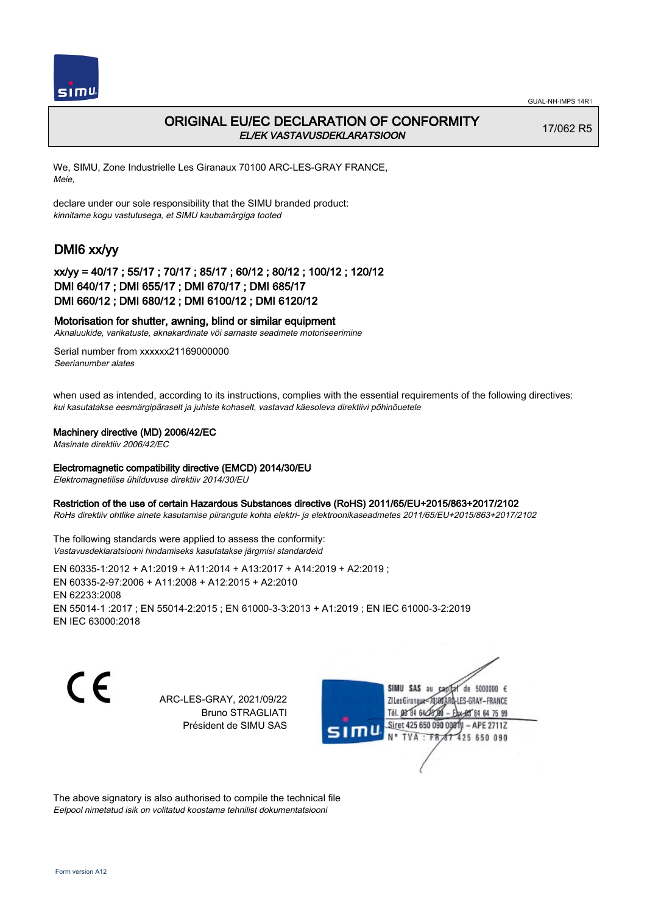

## ORIGINAL EU/EC DECLARATION OF CONFORMITY EL/EK VASTAVUSDEKLARATSIOON

17/062 R5

We, SIMU, Zone Industrielle Les Giranaux 70100 ARC-LES-GRAY FRANCE, Meie,

declare under our sole responsibility that the SIMU branded product: kinnitame kogu vastutusega, et SIMU kaubamärgiga tooted

# DMI6 xx/yy

### xx/yy = 40/17 ; 55/17 ; 70/17 ; 85/17 ; 60/12 ; 80/12 ; 100/12 ; 120/12 DMI 640/17 ; DMI 655/17 ; DMI 670/17 ; DMI 685/17 DMI 660/12 ; DMI 680/12 ; DMI 6100/12 ; DMI 6120/12

### Motorisation for shutter, awning, blind or similar equipment

Aknaluukide, varikatuste, aknakardinate või sarnaste seadmete motoriseerimine

Serial number from xxxxxx21169000000 Seerianumber alates

when used as intended, according to its instructions, complies with the essential requirements of the following directives: kui kasutatakse eesmärgipäraselt ja juhiste kohaselt, vastavad käesoleva direktiivi põhinõuetele

#### Machinery directive (MD) 2006/42/EC

Masinate direktiiv 2006/42/EC

#### Electromagnetic compatibility directive (EMCD) 2014/30/EU

Elektromagnetilise ühilduvuse direktiiv 2014/30/EU

#### Restriction of the use of certain Hazardous Substances directive (RoHS) 2011/65/EU+2015/863+2017/2102

RoHs direktiiv ohtlike ainete kasutamise piirangute kohta elektri- ja elektroonikaseadmetes 2011/65/EU+2015/863+2017/2102

The following standards were applied to assess the conformity: Vastavusdeklaratsiooni hindamiseks kasutatakse järgmisi standardeid

EN 60335‑1:2012 + A1:2019 + A11:2014 + A13:2017 + A14:2019 + A2:2019 ; EN 60335‑2‑97:2006 + A11:2008 + A12:2015 + A2:2010 EN 62233:2008 EN 55014‑1 :2017 ; EN 55014‑2:2015 ; EN 61000‑3‑3:2013 + A1:2019 ; EN IEC 61000‑3‑2:2019 EN IEC 63000:2018

C E

ARC-LES-GRAY, 2021/09/22 Bruno STRAGLIATI Président de SIMU SAS



The above signatory is also authorised to compile the technical file Eelpool nimetatud isik on volitatud koostama tehnilist dokumentatsiooni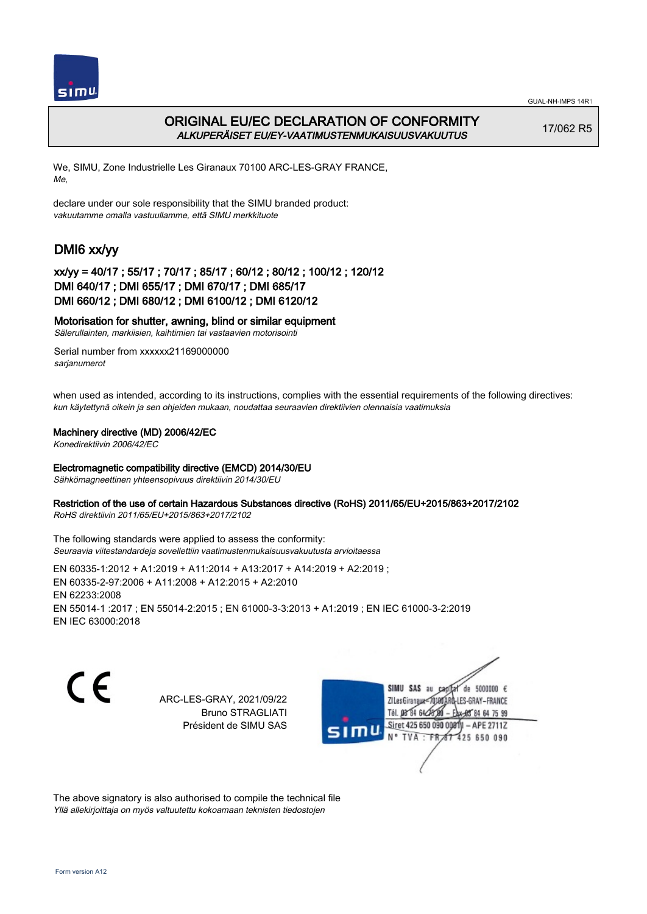

## ORIGINAL EU/EC DECLARATION OF CONFORMITY ALKUPERÄISET EU/EY-VAATIMUSTENMUKAISUUSVAKUUTUS

17/062 R5

We, SIMU, Zone Industrielle Les Giranaux 70100 ARC-LES-GRAY FRANCE, Me,

declare under our sole responsibility that the SIMU branded product: vakuutamme omalla vastuullamme, että SIMU merkkituote

# DMI6 xx/yy

### xx/yy = 40/17 ; 55/17 ; 70/17 ; 85/17 ; 60/12 ; 80/12 ; 100/12 ; 120/12 DMI 640/17 ; DMI 655/17 ; DMI 670/17 ; DMI 685/17 DMI 660/12 ; DMI 680/12 ; DMI 6100/12 ; DMI 6120/12

### Motorisation for shutter, awning, blind or similar equipment

Sälerullainten, markiisien, kaihtimien tai vastaavien motorisointi

Serial number from xxxxxx21169000000 sarjanumerot

when used as intended, according to its instructions, complies with the essential requirements of the following directives: kun käytettynä oikein ja sen ohjeiden mukaan, noudattaa seuraavien direktiivien olennaisia vaatimuksia

### Machinery directive (MD) 2006/42/EC

Konedirektiivin 2006/42/EC

### Electromagnetic compatibility directive (EMCD) 2014/30/EU

Sähkömagneettinen yhteensopivuus direktiivin 2014/30/EU

### Restriction of the use of certain Hazardous Substances directive (RoHS) 2011/65/EU+2015/863+2017/2102

RoHS direktiivin 2011/65/EU+2015/863+2017/2102

The following standards were applied to assess the conformity: Seuraavia viitestandardeja sovellettiin vaatimustenmukaisuusvakuutusta arvioitaessa

EN 60335‑1:2012 + A1:2019 + A11:2014 + A13:2017 + A14:2019 + A2:2019 ; EN 60335‑2‑97:2006 + A11:2008 + A12:2015 + A2:2010 EN 62233:2008 EN 55014‑1 :2017 ; EN 55014‑2:2015 ; EN 61000‑3‑3:2013 + A1:2019 ; EN IEC 61000‑3‑2:2019 EN IEC 63000:2018

CE

ARC-LES-GRAY, 2021/09/22 Bruno STRAGLIATI Président de SIMU SAS



The above signatory is also authorised to compile the technical file Yllä allekirjoittaja on myös valtuutettu kokoamaan teknisten tiedostojen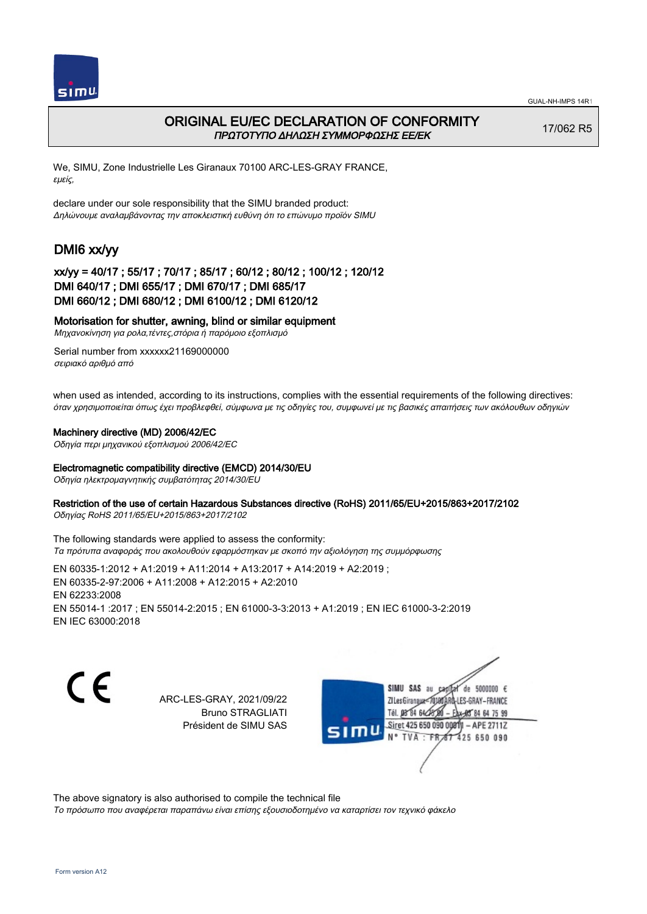

## ORIGINAL EU/EC DECLARATION OF CONFORMITY ΠΡΩΤΟΤΥΠΟ ΔΗΛΩΣΗ ΣΥΜΜΟΡΦΩΣΗΣ ΕΕ/EK

17/062 R5

We, SIMU, Zone Industrielle Les Giranaux 70100 ARC-LES-GRAY FRANCE, εμείς,

declare under our sole responsibility that the SIMU branded product: Δηλώνουμε αναλαμβάνοντας την αποκλειστική ευθύνη ότι το επώνυμο προϊόν SIMU

# DMI6 xx/yy

### xx/yy = 40/17 ; 55/17 ; 70/17 ; 85/17 ; 60/12 ; 80/12 ; 100/12 ; 120/12 DMI 640/17 ; DMI 655/17 ; DMI 670/17 ; DMI 685/17 DMI 660/12 ; DMI 680/12 ; DMI 6100/12 ; DMI 6120/12

### Motorisation for shutter, awning, blind or similar equipment

Μηχανοκίνηση για ρολα,τέντες,στόρια ή παρόμοιο εξοπλισμό

Serial number from xxxxxx21169000000 σειριακό αριθμό από

when used as intended, according to its instructions, complies with the essential requirements of the following directives: όταν χρησιμοποιείται όπως έχει προβλεφθεί, σύμφωνα με τις οδηγίες του, συμφωνεί με τις βασικές απαιτήσεις των ακόλουθων οδηγιών

#### Machinery directive (MD) 2006/42/EC

Οδηγία περι μηχανικού εξοπλισμού 2006/42/EC

#### Electromagnetic compatibility directive (EMCD) 2014/30/EU

Οδηγία ηλεκτρομαγνητικής συμβατότητας 2014/30/EU

#### Restriction of the use of certain Hazardous Substances directive (RoHS) 2011/65/EU+2015/863+2017/2102

Οδηγίας RoHS 2011/65/EU+2015/863+2017/2102

The following standards were applied to assess the conformity: Τα πρότυπα αναφοράς που ακολουθούν εφαρμόστηκαν με σκοπό την αξιολόγηση της συμμόρφωσης

EN 60335‑1:2012 + A1:2019 + A11:2014 + A13:2017 + A14:2019 + A2:2019 ; EN 60335‑2‑97:2006 + A11:2008 + A12:2015 + A2:2010 EN 62233:2008 EN 55014‑1 :2017 ; EN 55014‑2:2015 ; EN 61000‑3‑3:2013 + A1:2019 ; EN IEC 61000‑3‑2:2019 EN IEC 63000:2018

C F

ARC-LES-GRAY, 2021/09/22 Bruno STRAGLIATI Président de SIMU SAS

SIMU SAS au de 5000000  $\epsilon$ ZI Les Giranaux</DJ80AF LES-GRAY-FRANCE Tél. 08 84 64 24 84 64 75 99 Siret 425 650 090 00811  $-$  APE 27117 **TVA** 425 650 090  $-FR$ 

The above signatory is also authorised to compile the technical file

Το πρόσωπο που αναφέρεται παραπάνω είναι επίσης εξουσιοδοτημένο να καταρτίσει τον τεχνικό φάκελο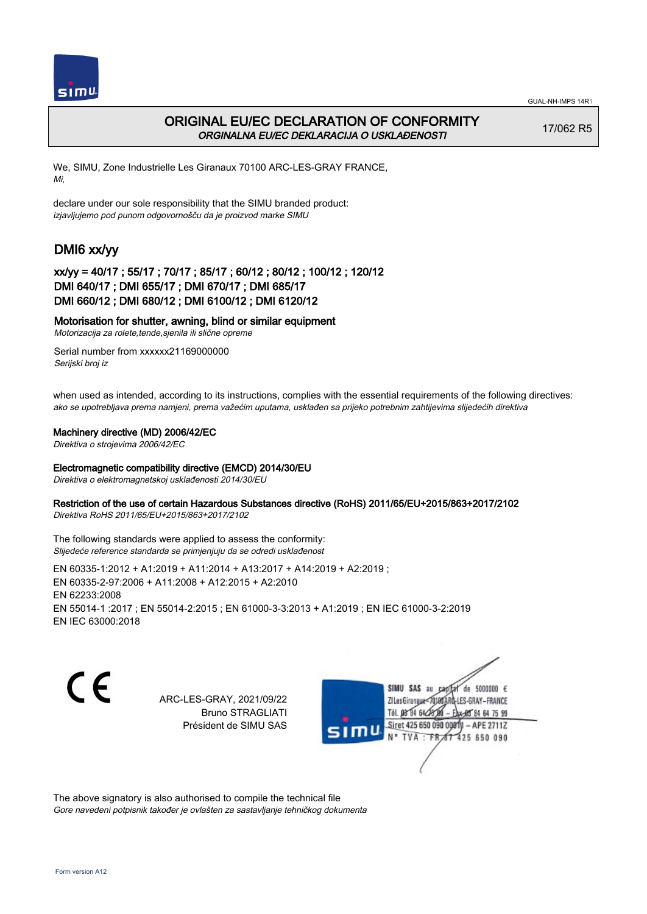

## ORIGINAL EU/EC DECLARATION OF CONFORMITY ORGINALNA EU/EC DEKLARACIJA O USKLAĐENOSTI

17/062 R5

We, SIMU, Zone Industrielle Les Giranaux 70100 ARC-LES-GRAY FRANCE, Mi,

declare under our sole responsibility that the SIMU branded product: izjavljujemo pod punom odgovornošču da je proizvod marke SIMU

# DMI6 xx/yy

## xx/yy = 40/17 ; 55/17 ; 70/17 ; 85/17 ; 60/12 ; 80/12 ; 100/12 ; 120/12 DMI 640/17 ; DMI 655/17 ; DMI 670/17 ; DMI 685/17 DMI 660/12 ; DMI 680/12 ; DMI 6100/12 ; DMI 6120/12

### Motorisation for shutter, awning, blind or similar equipment

Motorizacija za rolete,tende,sjenila ili slične opreme

Serial number from xxxxxx21169000000 Serijski broj iz

when used as intended, according to its instructions, complies with the essential requirements of the following directives: ako se upotrebljava prema namjeni, prema važećim uputama, usklađen sa prijeko potrebnim zahtijevima slijedećih direktiva

### Machinery directive (MD) 2006/42/EC

Direktiva o strojevima 2006/42/EC

### Electromagnetic compatibility directive (EMCD) 2014/30/EU

Direktiva o elektromagnetskoj usklađenosti 2014/30/EU

### Restriction of the use of certain Hazardous Substances directive (RoHS) 2011/65/EU+2015/863+2017/2102

Direktiva RoHS 2011/65/EU+2015/863+2017/2102

The following standards were applied to assess the conformity: Slijedeće reference standarda se primjenjuju da se odredi usklađenost

EN 60335‑1:2012 + A1:2019 + A11:2014 + A13:2017 + A14:2019 + A2:2019 ; EN 60335‑2‑97:2006 + A11:2008 + A12:2015 + A2:2010 EN 62233:2008 EN 55014‑1 :2017 ; EN 55014‑2:2015 ; EN 61000‑3‑3:2013 + A1:2019 ; EN IEC 61000‑3‑2:2019 EN IEC 63000:2018

CE

ARC-LES-GRAY, 2021/09/22 Bruno STRAGLIATI Président de SIMU SAS



The above signatory is also authorised to compile the technical file Gore navedeni potpisnik također je ovlašten za sastavljanje tehničkog dokumenta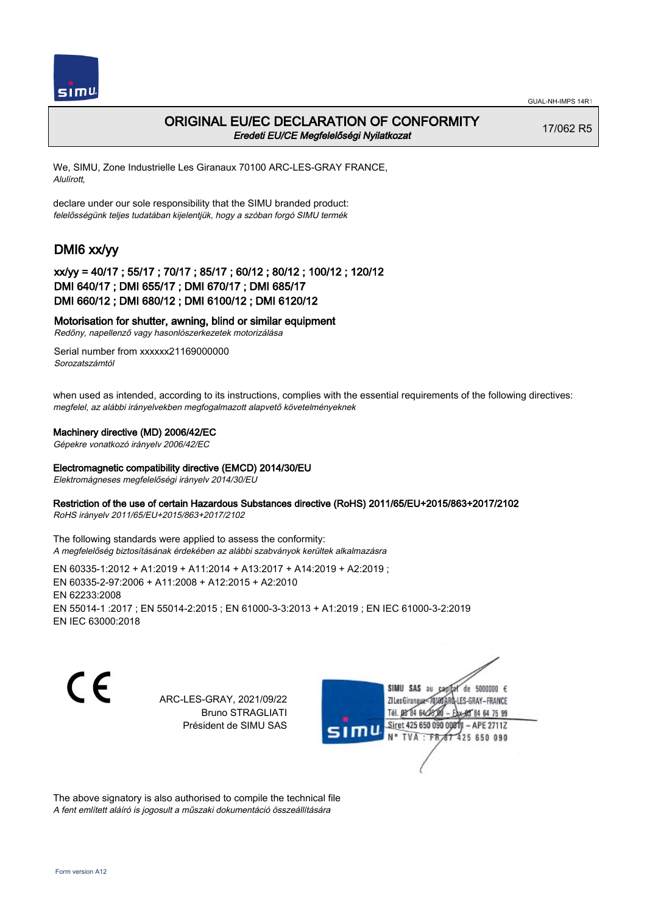

## ORIGINAL EU/EC DECLARATION OF CONFORMITY Eredeti EU/CE Megfelelőségi Nyilatkozat

17/062 R5

We, SIMU, Zone Industrielle Les Giranaux 70100 ARC-LES-GRAY FRANCE, Alulírott,

declare under our sole responsibility that the SIMU branded product: felelősségünk teljes tudatában kijelentjük, hogy a szóban forgó SIMU termék

# DMI6 xx/yy

## xx/yy = 40/17 ; 55/17 ; 70/17 ; 85/17 ; 60/12 ; 80/12 ; 100/12 ; 120/12 DMI 640/17 ; DMI 655/17 ; DMI 670/17 ; DMI 685/17 DMI 660/12 ; DMI 680/12 ; DMI 6100/12 ; DMI 6120/12

### Motorisation for shutter, awning, blind or similar equipment

Redőny, napellenző vagy hasonlószerkezetek motorizálása

Serial number from xxxxxx21169000000 Sorozatszámtól

when used as intended, according to its instructions, complies with the essential requirements of the following directives: megfelel, az alábbi irányelvekben megfogalmazott alapvető követelményeknek

### Machinery directive (MD) 2006/42/EC

Gépekre vonatkozó irányelv 2006/42/EC

### Electromagnetic compatibility directive (EMCD) 2014/30/EU

Elektromágneses megfelelőségi irányelv 2014/30/EU

### Restriction of the use of certain Hazardous Substances directive (RoHS) 2011/65/EU+2015/863+2017/2102

RoHS irányelv 2011/65/EU+2015/863+2017/2102

The following standards were applied to assess the conformity: A megfelelőség biztosításának érdekében az alábbi szabványok kerültek alkalmazásra

EN 60335‑1:2012 + A1:2019 + A11:2014 + A13:2017 + A14:2019 + A2:2019 ; EN 60335‑2‑97:2006 + A11:2008 + A12:2015 + A2:2010 EN 62233:2008 EN 55014‑1 :2017 ; EN 55014‑2:2015 ; EN 61000‑3‑3:2013 + A1:2019 ; EN IEC 61000‑3‑2:2019 EN IEC 63000:2018

C E

ARC-LES-GRAY, 2021/09/22 Bruno STRAGLIATI Président de SIMU SAS



The above signatory is also authorised to compile the technical file A fent említett aláíró is jogosult a műszaki dokumentáció összeállítására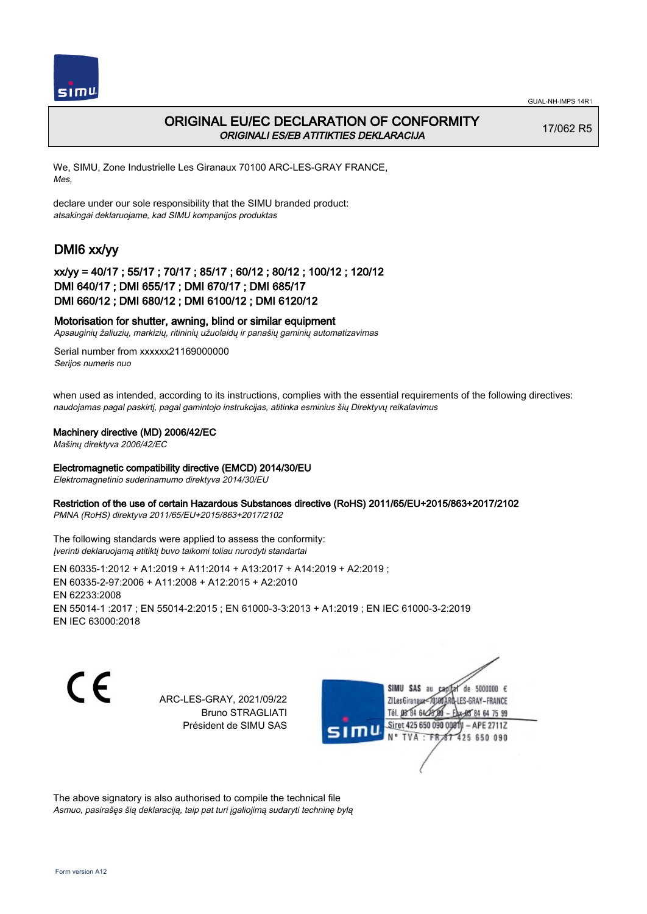

## ORIGINAL EU/EC DECLARATION OF CONFORMITY ORIGINALI ES/EB ATITIKTIES DEKLARACIJA

17/062 R5

We, SIMU, Zone Industrielle Les Giranaux 70100 ARC-LES-GRAY FRANCE, Mes,

declare under our sole responsibility that the SIMU branded product: atsakingai deklaruojame, kad SIMU kompanijos produktas

# DMI6 xx/yy

### xx/yy = 40/17 ; 55/17 ; 70/17 ; 85/17 ; 60/12 ; 80/12 ; 100/12 ; 120/12 DMI 640/17 ; DMI 655/17 ; DMI 670/17 ; DMI 685/17 DMI 660/12 ; DMI 680/12 ; DMI 6100/12 ; DMI 6120/12

### Motorisation for shutter, awning, blind or similar equipment

Apsauginių žaliuzių, markizių, ritininių užuolaidų ir panašių gaminių automatizavimas

Serial number from xxxxxx21169000000 Serijos numeris nuo

when used as intended, according to its instructions, complies with the essential requirements of the following directives: naudojamas pagal paskirtį, pagal gamintojo instrukcijas, atitinka esminius šių Direktyvų reikalavimus

### Machinery directive (MD) 2006/42/EC

Mašinų direktyva 2006/42/EC

#### Electromagnetic compatibility directive (EMCD) 2014/30/EU

Elektromagnetinio suderinamumo direktyva 2014/30/EU

### Restriction of the use of certain Hazardous Substances directive (RoHS) 2011/65/EU+2015/863+2017/2102

PMNA (RoHS) direktyva 2011/65/EU+2015/863+2017/2102

The following standards were applied to assess the conformity: Įverinti deklaruojamą atitiktį buvo taikomi toliau nurodyti standartai

EN 60335‑1:2012 + A1:2019 + A11:2014 + A13:2017 + A14:2019 + A2:2019 ; EN 60335‑2‑97:2006 + A11:2008 + A12:2015 + A2:2010 EN 62233:2008 EN 55014‑1 :2017 ; EN 55014‑2:2015 ; EN 61000‑3‑3:2013 + A1:2019 ; EN IEC 61000‑3‑2:2019 EN IEC 63000:2018

C E

ARC-LES-GRAY, 2021/09/22 Bruno STRAGLIATI Président de SIMU SAS



The above signatory is also authorised to compile the technical file Asmuo, pasirašęs šią deklaraciją, taip pat turi įgaliojimą sudaryti techninę bylą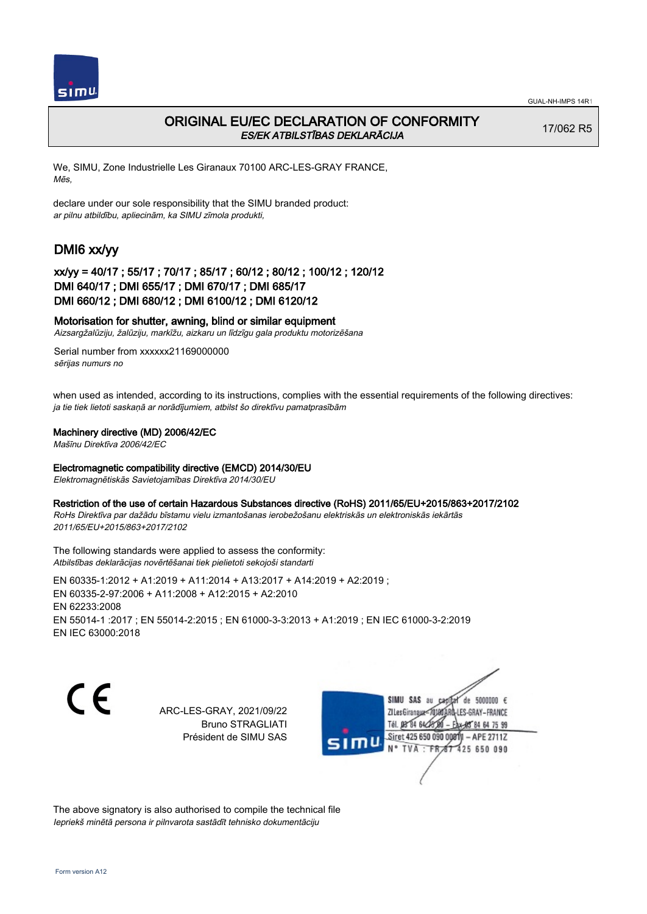

## ORIGINAL EU/EC DECLARATION OF CONFORMITY ES/EK ATBILSTĪBAS DEKLARĀCIJA

17/062 R5

We, SIMU, Zone Industrielle Les Giranaux 70100 ARC-LES-GRAY FRANCE, Mēs,

declare under our sole responsibility that the SIMU branded product: ar pilnu atbildību, apliecinām, ka SIMU zīmola produkti,

# DMI6 xx/yy

### xx/yy = 40/17 ; 55/17 ; 70/17 ; 85/17 ; 60/12 ; 80/12 ; 100/12 ; 120/12 DMI 640/17 ; DMI 655/17 ; DMI 670/17 ; DMI 685/17 DMI 660/12 ; DMI 680/12 ; DMI 6100/12 ; DMI 6120/12

### Motorisation for shutter, awning, blind or similar equipment

Aizsargžalūziju, žalūziju, markīžu, aizkaru un līdzīgu gala produktu motorizēšana

Serial number from xxxxxx21169000000 sērijas numurs no

when used as intended, according to its instructions, complies with the essential requirements of the following directives: ja tie tiek lietoti saskaņā ar norādījumiem, atbilst šo direktīvu pamatprasībām

### Machinery directive (MD) 2006/42/EC

Mašīnu Direktīva 2006/42/EC

### Electromagnetic compatibility directive (EMCD) 2014/30/EU

Elektromagnētiskās Savietojamības Direktīva 2014/30/EU

#### Restriction of the use of certain Hazardous Substances directive (RoHS) 2011/65/EU+2015/863+2017/2102

RoHs Direktīva par dažādu bīstamu vielu izmantošanas ierobežošanu elektriskās un elektroniskās iekārtās 2011/65/EU+2015/863+2017/2102

The following standards were applied to assess the conformity: Atbilstības deklarācijas novērtēšanai tiek pielietoti sekojoši standarti

EN 60335‑1:2012 + A1:2019 + A11:2014 + A13:2017 + A14:2019 + A2:2019 ; EN 60335‑2‑97:2006 + A11:2008 + A12:2015 + A2:2010 EN 62233:2008 EN 55014‑1 :2017 ; EN 55014‑2:2015 ; EN 61000‑3‑3:2013 + A1:2019 ; EN IEC 61000‑3‑2:2019 EN IEC 63000:2018

( F

ARC-LES-GRAY, 2021/09/22 Bruno STRAGLIATI Président de SIMU SAS



The above signatory is also authorised to compile the technical file Iepriekš minētā persona ir pilnvarota sastādīt tehnisko dokumentāciju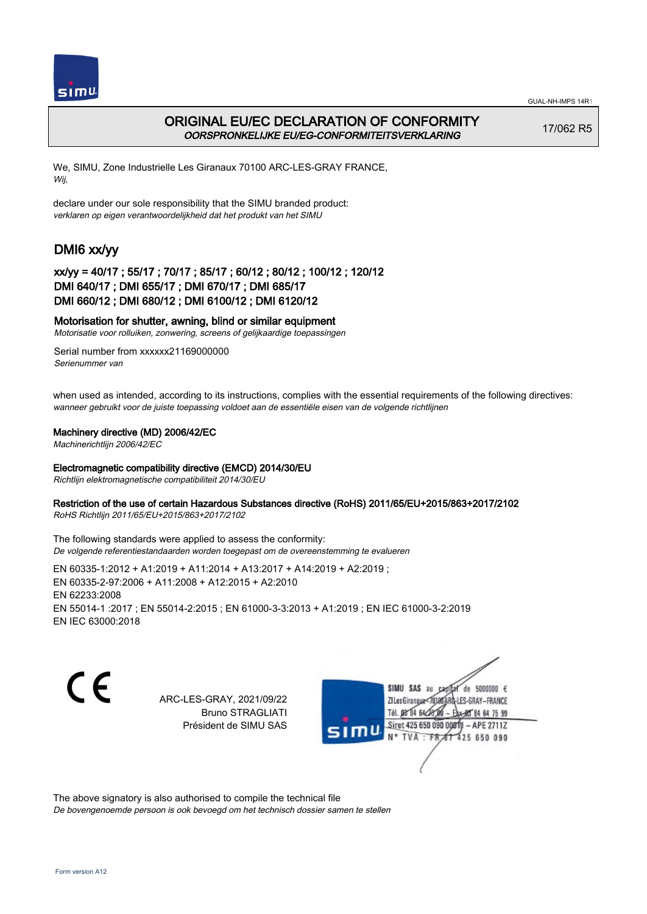

## ORIGINAL EU/EC DECLARATION OF CONFORMITY OORSPRONKELIJKE EU/EG-CONFORMITEITSVERKLARING

17/062 R5

We, SIMU, Zone Industrielle Les Giranaux 70100 ARC-LES-GRAY FRANCE, Wij,

declare under our sole responsibility that the SIMU branded product: verklaren op eigen verantwoordelijkheid dat het produkt van het SIMU

# DMI6 xx/yy

### xx/yy = 40/17 ; 55/17 ; 70/17 ; 85/17 ; 60/12 ; 80/12 ; 100/12 ; 120/12 DMI 640/17 ; DMI 655/17 ; DMI 670/17 ; DMI 685/17 DMI 660/12 ; DMI 680/12 ; DMI 6100/12 ; DMI 6120/12

### Motorisation for shutter, awning, blind or similar equipment

Motorisatie voor rolluiken, zonwering, screens of gelijkaardige toepassingen

Serial number from xxxxxx21169000000 Serienummer van

when used as intended, according to its instructions, complies with the essential requirements of the following directives: wanneer gebruikt voor de juiste toepassing voldoet aan de essentiële eisen van de volgende richtlijnen

### Machinery directive (MD) 2006/42/EC

Machinerichtlijn 2006/42/EC

#### Electromagnetic compatibility directive (EMCD) 2014/30/EU

Richtlijn elektromagnetische compatibiliteit 2014/30/EU

### Restriction of the use of certain Hazardous Substances directive (RoHS) 2011/65/EU+2015/863+2017/2102

RoHS Richtlijn 2011/65/EU+2015/863+2017/2102

The following standards were applied to assess the conformity: De volgende referentiestandaarden worden toegepast om de overeenstemming te evalueren

EN 60335‑1:2012 + A1:2019 + A11:2014 + A13:2017 + A14:2019 + A2:2019 ; EN 60335‑2‑97:2006 + A11:2008 + A12:2015 + A2:2010 EN 62233:2008 EN 55014‑1 :2017 ; EN 55014‑2:2015 ; EN 61000‑3‑3:2013 + A1:2019 ; EN IEC 61000‑3‑2:2019 EN IEC 63000:2018

C E

ARC-LES-GRAY, 2021/09/22 Bruno STRAGLIATI Président de SIMU SAS

SIMU SAS au de 5000000  $\epsilon$ ZI Les Giranaux</r LES-GRAY-FRANCE THE DR'RE BLA 84 64 75 99 Siret 425 650 090 00811  $-$  APE 27117 **TVA** 425 650 090  $-FR$ 

The above signatory is also authorised to compile the technical file De bovengenoemde persoon is ook bevoegd om het technisch dossier samen te stellen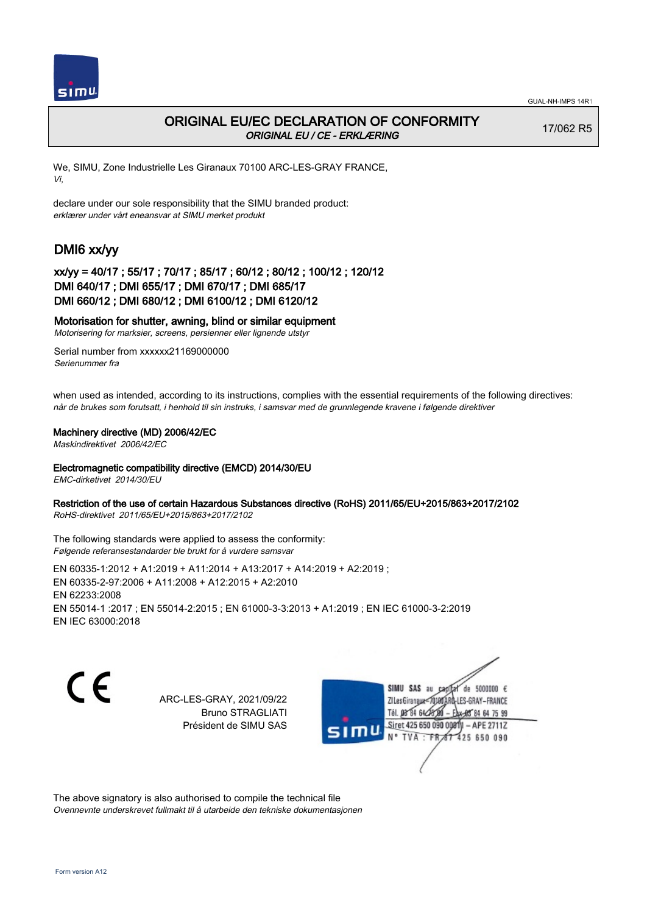

## ORIGINAL EU/EC DECLARATION OF CONFORMITY ORIGINAL EU / CE - ERKLÆRING

17/062 R5

We, SIMU, Zone Industrielle Les Giranaux 70100 ARC-LES-GRAY FRANCE, Vi,

declare under our sole responsibility that the SIMU branded product: erklærer under vårt eneansvar at SIMU merket produkt

# DMI6 xx/yy

## xx/yy = 40/17 ; 55/17 ; 70/17 ; 85/17 ; 60/12 ; 80/12 ; 100/12 ; 120/12 DMI 640/17 ; DMI 655/17 ; DMI 670/17 ; DMI 685/17 DMI 660/12 ; DMI 680/12 ; DMI 6100/12 ; DMI 6120/12

### Motorisation for shutter, awning, blind or similar equipment

Motorisering for marksier, screens, persienner eller lignende utstyr

Serial number from xxxxxx21169000000 Serienummer fra

when used as intended, according to its instructions, complies with the essential requirements of the following directives: når de brukes som forutsatt, i henhold til sin instruks, i samsvar med de grunnlegende kravene i følgende direktiver

### Machinery directive (MD) 2006/42/EC

Maskindirektivet 2006/42/EC

### Electromagnetic compatibility directive (EMCD) 2014/30/EU

EMC-dirketivet 2014/30/EU

### Restriction of the use of certain Hazardous Substances directive (RoHS) 2011/65/EU+2015/863+2017/2102

RoHS-direktivet 2011/65/EU+2015/863+2017/2102

The following standards were applied to assess the conformity: Følgende referansestandarder ble brukt for å vurdere samsvar

EN 60335‑1:2012 + A1:2019 + A11:2014 + A13:2017 + A14:2019 + A2:2019 ; EN 60335‑2‑97:2006 + A11:2008 + A12:2015 + A2:2010 EN 62233:2008 EN 55014‑1 :2017 ; EN 55014‑2:2015 ; EN 61000‑3‑3:2013 + A1:2019 ; EN IEC 61000‑3‑2:2019 EN IEC 63000:2018

CE

ARC-LES-GRAY, 2021/09/22 Bruno STRAGLIATI Président de SIMU SAS

SIMU SAS au de 5000000  $\epsilon$ ZI Les Giranaux</r LES-GRAY-FRANCE THE DR'RE BLA 84 64 75 99 Siret 425 650 090 00811  $-$  APE 27117 **TVA · FR** 425 650 090

The above signatory is also authorised to compile the technical file Ovennevnte underskrevet fullmakt til å utarbeide den tekniske dokumentasjonen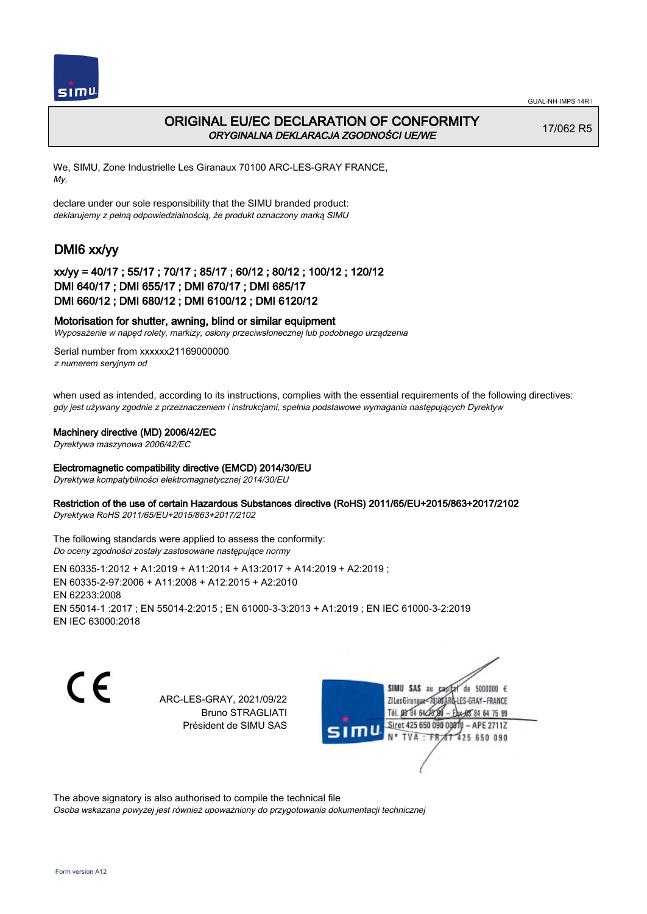

## ORIGINAL EU/EC DECLARATION OF CONFORMITY ORYGINALNA DEKLARACJA ZGODNOŚCI UE/WE

17/062 R5

We, SIMU, Zone Industrielle Les Giranaux 70100 ARC-LES-GRAY FRANCE, My,

declare under our sole responsibility that the SIMU branded product: deklarujemy z pełną odpowiedzialnością, że produkt oznaczony marką SIMU

# DMI6 xx/yy

### xx/yy = 40/17 ; 55/17 ; 70/17 ; 85/17 ; 60/12 ; 80/12 ; 100/12 ; 120/12 DMI 640/17 ; DMI 655/17 ; DMI 670/17 ; DMI 685/17 DMI 660/12 ; DMI 680/12 ; DMI 6100/12 ; DMI 6120/12

### Motorisation for shutter, awning, blind or similar equipment

Wyposażenie w napęd rolety, markizy, osłony przeciwsłonecznej lub podobnego urządzenia

Serial number from xxxxxx21169000000 z numerem seryjnym od

when used as intended, according to its instructions, complies with the essential requirements of the following directives: gdy jest używany zgodnie z przeznaczeniem i instrukcjami, spełnia podstawowe wymagania następujących Dyrektyw

#### Machinery directive (MD) 2006/42/EC

Dyrektywa maszynowa 2006/42/EC

### Electromagnetic compatibility directive (EMCD) 2014/30/EU

Dyrektywa kompatybilności elektromagnetycznej 2014/30/EU

### Restriction of the use of certain Hazardous Substances directive (RoHS) 2011/65/EU+2015/863+2017/2102

Dyrektywa RoHS 2011/65/EU+2015/863+2017/2102

The following standards were applied to assess the conformity: Do oceny zgodności zostały zastosowane następujące normy

EN 60335‑1:2012 + A1:2019 + A11:2014 + A13:2017 + A14:2019 + A2:2019 ; EN 60335‑2‑97:2006 + A11:2008 + A12:2015 + A2:2010 EN 62233:2008 EN 55014‑1 :2017 ; EN 55014‑2:2015 ; EN 61000‑3‑3:2013 + A1:2019 ; EN IEC 61000‑3‑2:2019 EN IEC 63000:2018

C E

ARC-LES-GRAY, 2021/09/22 Bruno STRAGLIATI Président de SIMU SAS

SIMU SAS au de 5000000  $\epsilon$ ZI Les Giranaux</DJ80 LES-GRAY-FRANCE Tél. 08 84 64 24 84 64 75 99 Siret 425 650 090 00811  $-$  APE 27117 **TVA** 425 650 090  $-FR$ 

The above signatory is also authorised to compile the technical file Osoba wskazana powyżej jest również upoważniony do przygotowania dokumentacji technicznej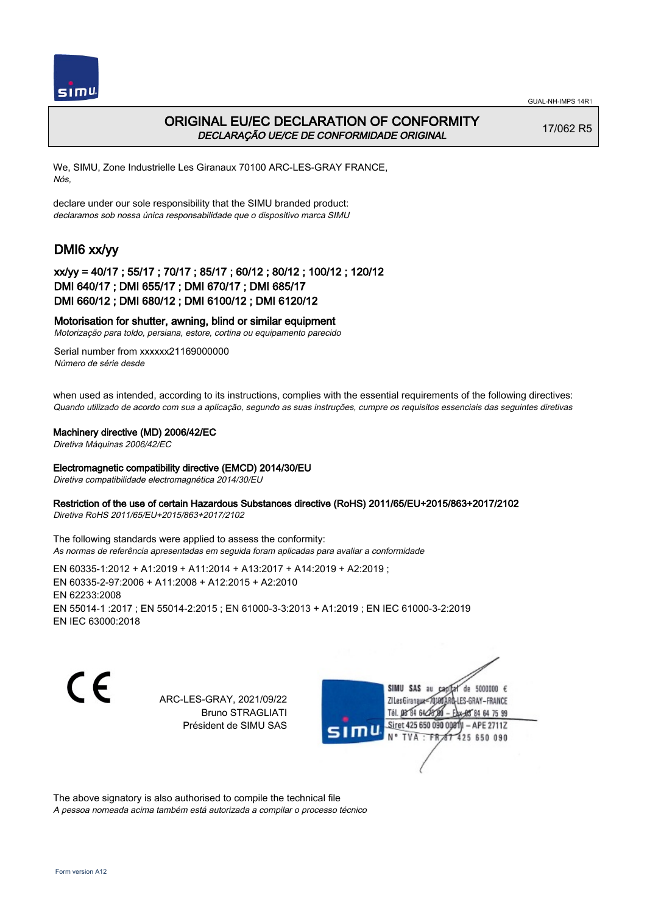



## ORIGINAL EU/EC DECLARATION OF CONFORMITY DECLARAÇÃO UE/CE DE CONFORMIDADE ORIGINAL

17/062 R5

We, SIMU, Zone Industrielle Les Giranaux 70100 ARC-LES-GRAY FRANCE, Nós,

declare under our sole responsibility that the SIMU branded product: declaramos sob nossa única responsabilidade que o dispositivo marca SIMU

# DMI6 xx/yy

### xx/yy = 40/17 ; 55/17 ; 70/17 ; 85/17 ; 60/12 ; 80/12 ; 100/12 ; 120/12 DMI 640/17 ; DMI 655/17 ; DMI 670/17 ; DMI 685/17 DMI 660/12 ; DMI 680/12 ; DMI 6100/12 ; DMI 6120/12

### Motorisation for shutter, awning, blind or similar equipment

Motorização para toldo, persiana, estore, cortina ou equipamento parecido

Serial number from xxxxxx21169000000 Número de série desde

when used as intended, according to its instructions, complies with the essential requirements of the following directives: Quando utilizado de acordo com sua a aplicação, segundo as suas instruções, cumpre os requisitos essenciais das seguintes diretivas

### Machinery directive (MD) 2006/42/EC

Diretiva Máquinas 2006/42/EC

#### Electromagnetic compatibility directive (EMCD) 2014/30/EU

Diretiva compatibilidade electromagnética 2014/30/EU

### Restriction of the use of certain Hazardous Substances directive (RoHS) 2011/65/EU+2015/863+2017/2102

Diretiva RoHS 2011/65/EU+2015/863+2017/2102

The following standards were applied to assess the conformity: As normas de referência apresentadas em seguida foram aplicadas para avaliar a conformidade

EN 60335‑1:2012 + A1:2019 + A11:2014 + A13:2017 + A14:2019 + A2:2019 ; EN 60335‑2‑97:2006 + A11:2008 + A12:2015 + A2:2010 EN 62233:2008 EN 55014‑1 :2017 ; EN 55014‑2:2015 ; EN 61000‑3‑3:2013 + A1:2019 ; EN IEC 61000‑3‑2:2019 EN IEC 63000:2018

C E

ARC-LES-GRAY, 2021/09/22 Bruno STRAGLIATI Président de SIMU SAS



The above signatory is also authorised to compile the technical file

A pessoa nomeada acima também está autorizada a compilar o processo técnico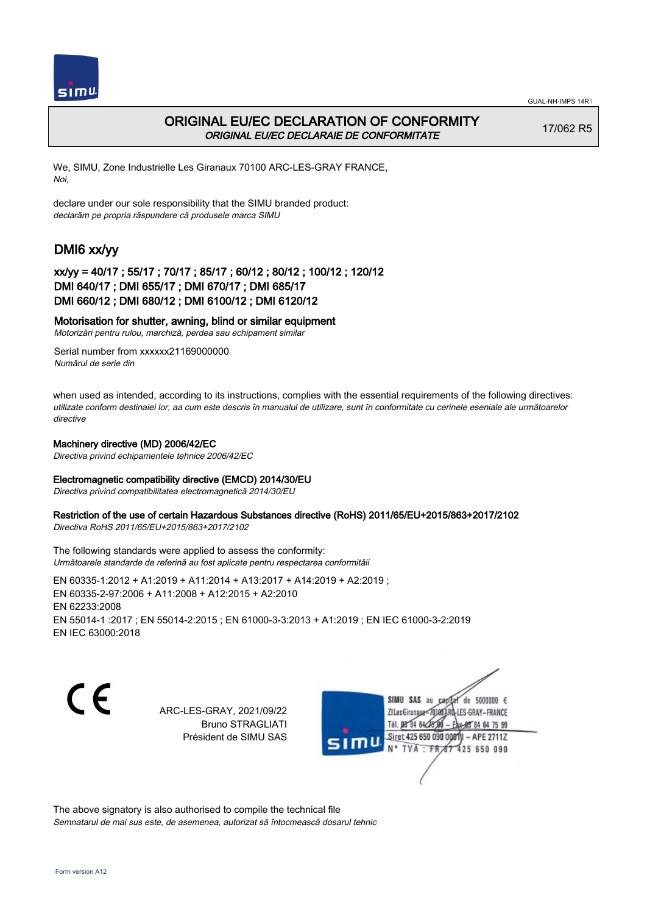



## ORIGINAL EU/EC DECLARATION OF CONFORMITY ORIGINAL EU/EC DECLARAIE DE CONFORMITATE

17/062 R5

We, SIMU, Zone Industrielle Les Giranaux 70100 ARC-LES-GRAY FRANCE, Noi,

declare under our sole responsibility that the SIMU branded product: declarăm pe propria răspundere că produsele marca SIMU

# DMI6 xx/yy

### xx/yy = 40/17 ; 55/17 ; 70/17 ; 85/17 ; 60/12 ; 80/12 ; 100/12 ; 120/12 DMI 640/17 ; DMI 655/17 ; DMI 670/17 ; DMI 685/17 DMI 660/12 ; DMI 680/12 ; DMI 6100/12 ; DMI 6120/12

### Motorisation for shutter, awning, blind or similar equipment

Motorizări pentru rulou, marchiză, perdea sau echipament similar

Serial number from xxxxxx21169000000 Numărul de serie din

when used as intended, according to its instructions, complies with the essential requirements of the following directives: utilizate conform destinaiei lor, aa cum este descris în manualul de utilizare, sunt în conformitate cu cerinele eseniale ale următoarelor directive

### Machinery directive (MD) 2006/42/EC

Directiva privind echipamentele tehnice 2006/42/EC

### Electromagnetic compatibility directive (EMCD) 2014/30/EU

Directiva privind compatibilitatea electromagnetică 2014/30/EU

### Restriction of the use of certain Hazardous Substances directive (RoHS) 2011/65/EU+2015/863+2017/2102

Directiva RoHS 2011/65/EU+2015/863+2017/2102

The following standards were applied to assess the conformity: Următoarele standarde de referină au fost aplicate pentru respectarea conformităii

EN 60335‑1:2012 + A1:2019 + A11:2014 + A13:2017 + A14:2019 + A2:2019 ; EN 60335‑2‑97:2006 + A11:2008 + A12:2015 + A2:2010 EN 62233:2008 EN 55014‑1 :2017 ; EN 55014‑2:2015 ; EN 61000‑3‑3:2013 + A1:2019 ; EN IEC 61000‑3‑2:2019 EN IEC 63000:2018

( F

ARC-LES-GRAY, 2021/09/22 Bruno STRAGLIATI Président de SIMU SAS



The above signatory is also authorised to compile the technical file Semnatarul de mai sus este, de asemenea, autorizat să întocmească dosarul tehnic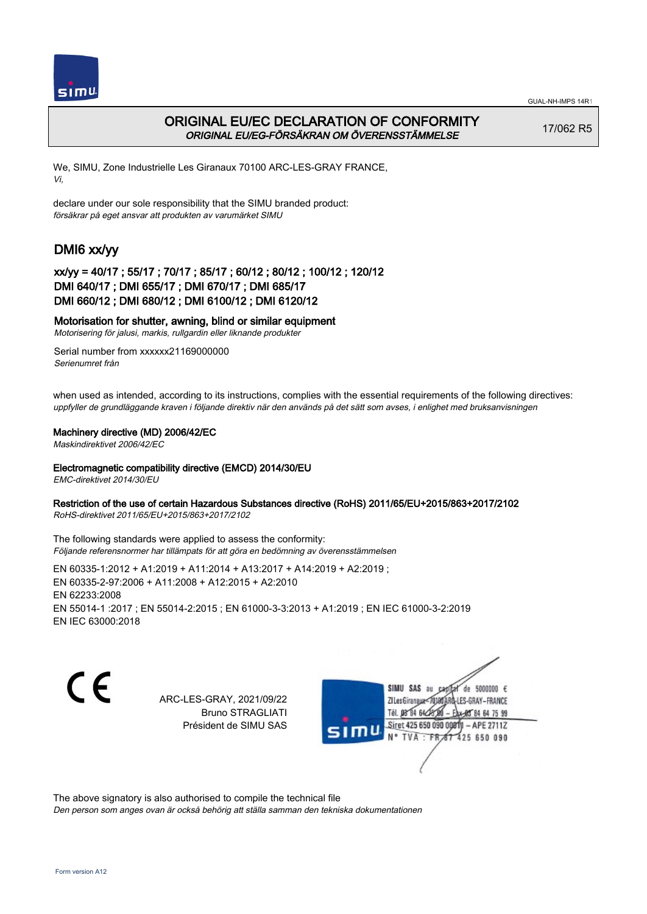

## ORIGINAL EU/EC DECLARATION OF CONFORMITY ORIGINAL EU/EG-FÖRSÄKRAN OM ÖVERENSSTÄMMELSE

17/062 R5

We, SIMU, Zone Industrielle Les Giranaux 70100 ARC-LES-GRAY FRANCE, Vi,

declare under our sole responsibility that the SIMU branded product: försäkrar på eget ansvar att produkten av varumärket SIMU

# DMI6 xx/yy

## xx/yy = 40/17 ; 55/17 ; 70/17 ; 85/17 ; 60/12 ; 80/12 ; 100/12 ; 120/12 DMI 640/17 ; DMI 655/17 ; DMI 670/17 ; DMI 685/17 DMI 660/12 ; DMI 680/12 ; DMI 6100/12 ; DMI 6120/12

### Motorisation for shutter, awning, blind or similar equipment

Motorisering för jalusi, markis, rullgardin eller liknande produkter

Serial number from xxxxxx21169000000 Serienumret från

when used as intended, according to its instructions, complies with the essential requirements of the following directives: uppfyller de grundläggande kraven i följande direktiv när den används på det sätt som avses, i enlighet med bruksanvisningen

### Machinery directive (MD) 2006/42/EC

Maskindirektivet 2006/42/EC

### Electromagnetic compatibility directive (EMCD) 2014/30/EU

EMC-direktivet 2014/30/EU

### Restriction of the use of certain Hazardous Substances directive (RoHS) 2011/65/EU+2015/863+2017/2102

RoHS-direktivet 2011/65/EU+2015/863+2017/2102

The following standards were applied to assess the conformity: Följande referensnormer har tillämpats för att göra en bedömning av överensstämmelsen

EN 60335‑1:2012 + A1:2019 + A11:2014 + A13:2017 + A14:2019 + A2:2019 ; EN 60335‑2‑97:2006 + A11:2008 + A12:2015 + A2:2010 EN 62233:2008 EN 55014‑1 :2017 ; EN 55014‑2:2015 ; EN 61000‑3‑3:2013 + A1:2019 ; EN IEC 61000‑3‑2:2019 EN IEC 63000:2018

CE

ARC-LES-GRAY, 2021/09/22 Bruno STRAGLIATI Président de SIMU SAS



The above signatory is also authorised to compile the technical file

Den person som anges ovan är också behörig att ställa samman den tekniska dokumentationen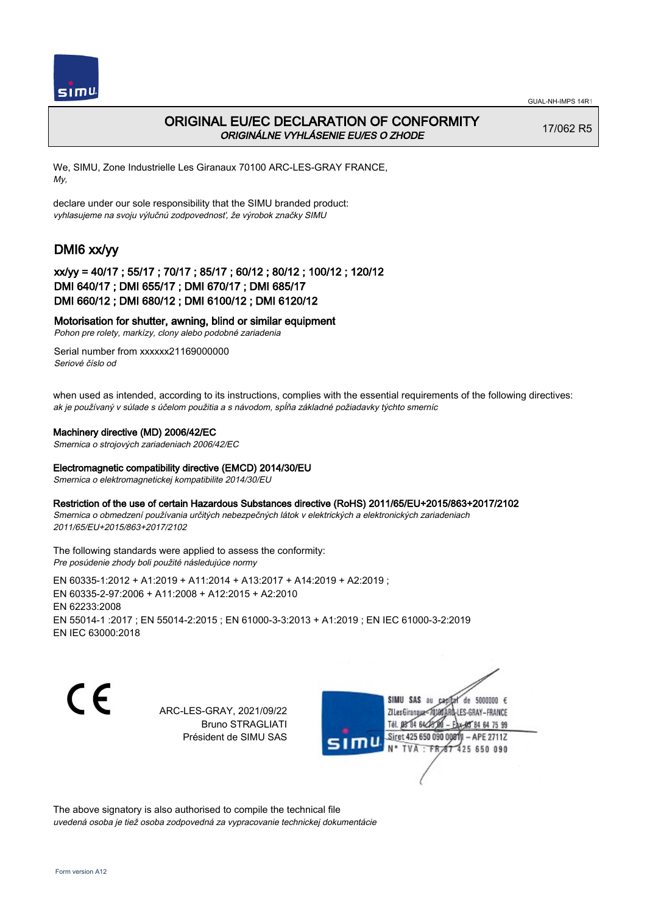

## ORIGINAL EU/EC DECLARATION OF CONFORMITY ORIGINÁLNE VYHLÁSENIE EU/ES O ZHODE

17/062 R5

We, SIMU, Zone Industrielle Les Giranaux 70100 ARC-LES-GRAY FRANCE, My,

declare under our sole responsibility that the SIMU branded product: vyhlasujeme na svoju výlučnú zodpovednosť, že výrobok značky SIMU

# DMI6 xx/yy

## xx/yy = 40/17 ; 55/17 ; 70/17 ; 85/17 ; 60/12 ; 80/12 ; 100/12 ; 120/12 DMI 640/17 ; DMI 655/17 ; DMI 670/17 ; DMI 685/17 DMI 660/12 ; DMI 680/12 ; DMI 6100/12 ; DMI 6120/12

### Motorisation for shutter, awning, blind or similar equipment

Pohon pre rolety, markízy, clony alebo podobné zariadenia

Serial number from xxxxxx21169000000 Seriové číslo od

when used as intended, according to its instructions, complies with the essential requirements of the following directives: ak je používaný v súlade s účelom použitia a s návodom, spĺňa základné požiadavky týchto smerníc

### Machinery directive (MD) 2006/42/EC

Smernica o strojových zariadeniach 2006/42/EC

### Electromagnetic compatibility directive (EMCD) 2014/30/EU

Smernica o elektromagnetickej kompatibilite 2014/30/EU

#### Restriction of the use of certain Hazardous Substances directive (RoHS) 2011/65/EU+2015/863+2017/2102

Smernica o obmedzení používania určitých nebezpečných látok v elektrických a elektronických zariadeniach 2011/65/EU+2015/863+2017/2102

The following standards were applied to assess the conformity: Pre posúdenie zhody boli použité následujúce normy

EN 60335‑1:2012 + A1:2019 + A11:2014 + A13:2017 + A14:2019 + A2:2019 ; EN 60335‑2‑97:2006 + A11:2008 + A12:2015 + A2:2010 EN 62233:2008 EN 55014‑1 :2017 ; EN 55014‑2:2015 ; EN 61000‑3‑3:2013 + A1:2019 ; EN IEC 61000‑3‑2:2019 EN IEC 63000:2018

( F

ARC-LES-GRAY, 2021/09/22 Bruno STRAGLIATI Président de SIMU SAS



The above signatory is also authorised to compile the technical file uvedená osoba je tiež osoba zodpovedná za vypracovanie technickej dokumentácie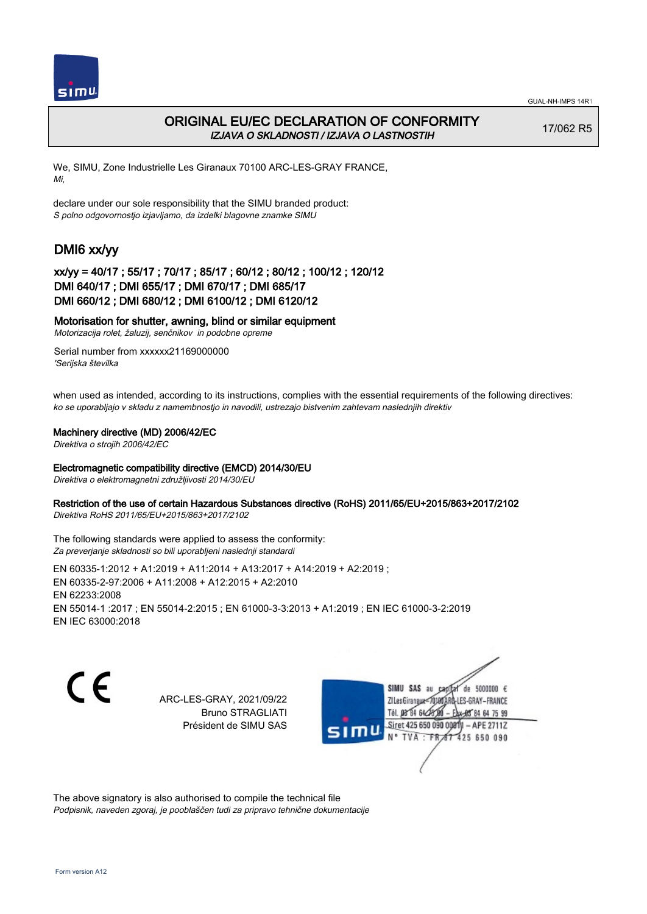

## ORIGINAL EU/EC DECLARATION OF CONFORMITY IZJAVA O SKLADNOSTI / IZJAVA O LASTNOSTIH

17/062 R5

We, SIMU, Zone Industrielle Les Giranaux 70100 ARC-LES-GRAY FRANCE, Mi,

declare under our sole responsibility that the SIMU branded product: S polno odgovornostjo izjavljamo, da izdelki blagovne znamke SIMU

# DMI6 xx/yy

## xx/yy = 40/17 ; 55/17 ; 70/17 ; 85/17 ; 60/12 ; 80/12 ; 100/12 ; 120/12 DMI 640/17 ; DMI 655/17 ; DMI 670/17 ; DMI 685/17 DMI 660/12 ; DMI 680/12 ; DMI 6100/12 ; DMI 6120/12

### Motorisation for shutter, awning, blind or similar equipment

Motorizacija rolet, žaluzij, senčnikov in podobne opreme

Serial number from xxxxxx21169000000 'Serijska številka

when used as intended, according to its instructions, complies with the essential requirements of the following directives: ko se uporabljajo v skladu z namembnostjo in navodili, ustrezajo bistvenim zahtevam naslednjih direktiv

### Machinery directive (MD) 2006/42/EC

Direktiva o strojih 2006/42/EC

### Electromagnetic compatibility directive (EMCD) 2014/30/EU

Direktiva o elektromagnetni združljivosti 2014/30/EU

### Restriction of the use of certain Hazardous Substances directive (RoHS) 2011/65/EU+2015/863+2017/2102

Direktiva RoHS 2011/65/EU+2015/863+2017/2102

The following standards were applied to assess the conformity: Za preverjanje skladnosti so bili uporabljeni naslednji standardi

EN 60335‑1:2012 + A1:2019 + A11:2014 + A13:2017 + A14:2019 + A2:2019 ; EN 60335‑2‑97:2006 + A11:2008 + A12:2015 + A2:2010 EN 62233:2008 EN 55014‑1 :2017 ; EN 55014‑2:2015 ; EN 61000‑3‑3:2013 + A1:2019 ; EN IEC 61000‑3‑2:2019 EN IEC 63000:2018

CE

ARC-LES-GRAY, 2021/09/22 Bruno STRAGLIATI Président de SIMU SAS



The above signatory is also authorised to compile the technical file Podpisnik, naveden zgoraj, je pooblaščen tudi za pripravo tehnične dokumentacije